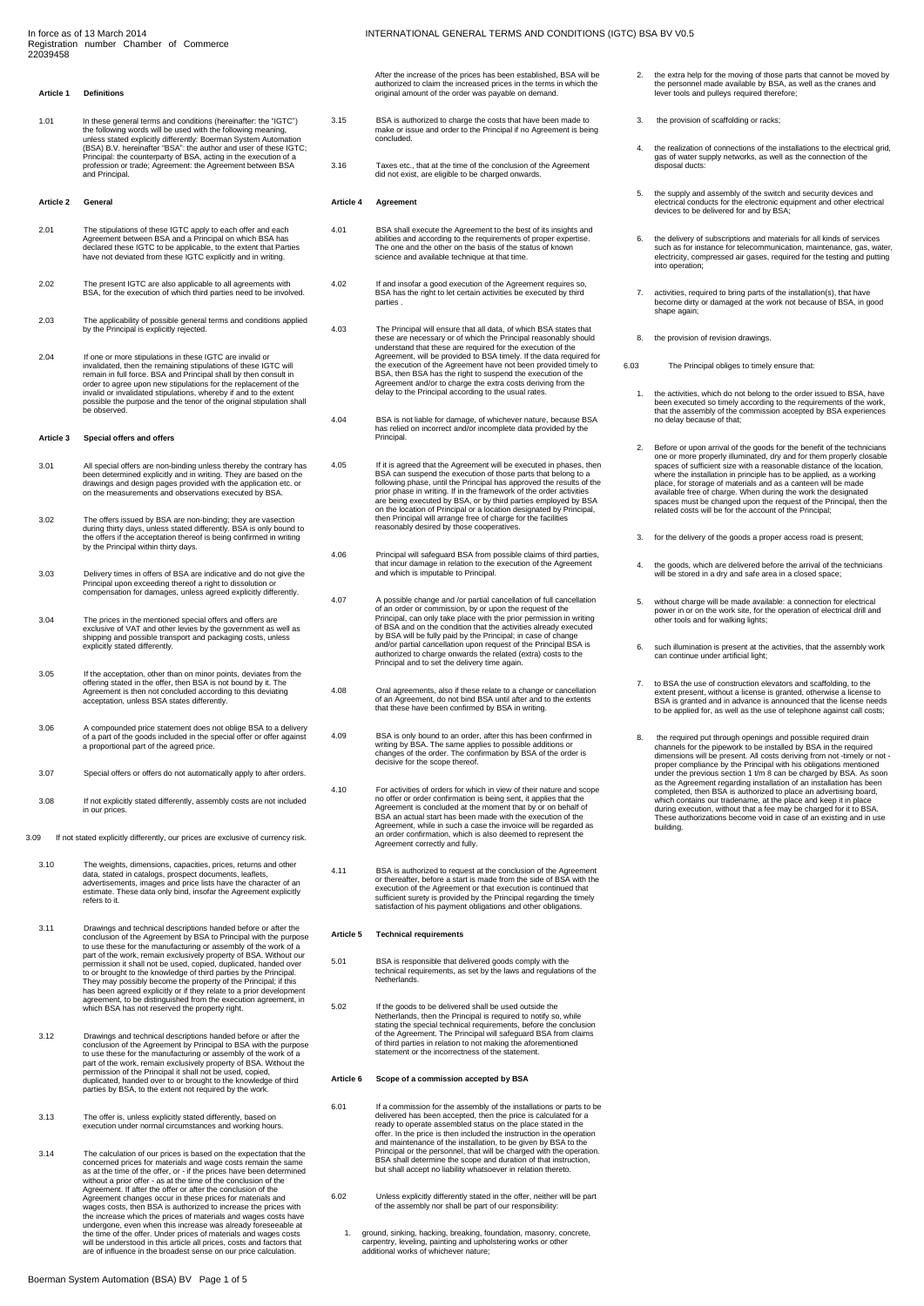#### **Article 1 Definitions**

1.01 In these general terms and conditions (hereinafter: the "IGTC")<br>the following words will be used with the following meaning,<br>unless stated explicitly differently: Boerman System Automation<br>(BSA) B.V. hereinafter "BSA"

#### **Article 2 General**

- 2.01 The stipulations of these IGTC apply to each offer and each<br>Agreement between BSA and a Principal on which BSA has<br>declared these IGTC to be applicable, to the extent that Parties<br>have not deviated from these IGTC exp
- 2.02 The present IGTC are also applicable to all agreements with BSA, for the execution of which third parties need to be involved.
- 2.03 The applicability of possible general terms and conditions applied by the Principal is explicitly rejected.
- 2.04 If one or more stipulations in these IGTC are invalid or<br>invalidated, then the remaining stipulations of these IGTC will<br>remain in full force. BSA and Principal shall by then consult in<br>order to agree upon new stipula be observed.

#### **Article 3 Special offers and offers**

- 3.01 All special offers are non-binding unless thereby the contrary has<br>been determined explicitly and in writing. They are based on the<br>drawings and design pages provided with the application etc. or<br>on the measurements a
- 3.02 The offers issued by BSA are non-binding; they are vasection during thirty days, unless stated differently. BSA is only bound to the offers if the acceptation thereof is being confirmed in writing by the Principal within thirty days.
- 3.03 Delivery times in offers of BSA are indicative and do not give the Principal upon exceeding thereof a right to dissolution or compensation for damages, unless agreed explicitly differently.
- 3.04 The prices in the mentioned special offers and offers are exclusive of VAT and other levies by the government as well as shipping and possible transport and packaging costs, unless explicitly stated differently.
- 3.05 If the acceptation, other than on minor points, deviates from the offering stated in the offer, then BSA is not bound by it. The Agreement is then not concluded according to this deviating acceptation, unless BSA stat
- 3.06 A compounded price statement does not oblige BSA to a delivery of a part of the goods included in the special offer or offer against a proportional part of the agreed price.
- 3.07 Special offers or offers do not automatically apply to after orders.
- 3.08 If not explicitly stated differently, assembly costs are not included in our prices.
- 3.09 If not stated explicitly differently, our prices are exclusive of currency risk.
	- 3.10 The weights, dimensions, capacities, prices, returns and other<br>data, stated in catalogs, prospect documents, leaflets,<br>advertisements, images and price lists have the character of an<br>estimate. These data only bind, in <del>c</del>ourrate.<br>refers to i
	- 3.11 Drawings and technical descriptions handed before or after the conclusion of the Agreement by BSA to Principal with the purpose to use these for the manufacturing or assembly of the work of a part of the work, remain exclusively property of BSA. Without our permission it shall not be used, copied, duplicated, handed over to or brought to the knowledge of third parties by the Principal.<br>They may possibly become the property of the Principal; if this<br>has been agreed explicitly or if they relate to a prior development<br>agreement, to be disting
	- 3.12 Drawings and technical descriptions handed before or after the conclusion of the Agreement by Principal to BSA with the purpose to use these for the manufacturing or assembly of the work of a part of the work, remain parties by BSA, to the extent not required by the work.
	- 3.13 The offer is, unless explicitly stated differently, based on execution under normal circumstances and working hours.
	- 3.14 The calculation of our prices is based on the expectation that the concerned prices for materials and wage costs remain the same as at the time of the offer, or  $\cdot$  if the prices have been determined without a prior Agreement changes occur in these prices for materials and wages costs, then BSA is authorized to increase the prices with the increase which the prices of materials and wages costs have undergone, even when this increase was already foreseeable at the time of the offer. Under prices of materials and wages costs will be understood in this article all prices, costs and factors that are of influence in the broadest sense on our price calculation.

After the increase of the prices has been established, BSA will be authorized to claim the increased prices in the terms in which the original amount of the order was payable on demand.

- 3.15 BSA is authorized to charge the costs that have been made to make or issue and order to the Principal if no Agreement is being concluded.
- 3.16 Taxes etc., that at the time of the conclusion of the Agreement did not exist, are eligible to be charged onwards.

#### **Article 4 Agreement**

- 4.01 BSA shall execute the Agreement to the best of its insights and abilities and according to the requirements of proper expertise.<br>The one and the other on the basis of the status of known<br>science and available techniqu
- 4.02 If and insofar a good execution of the Agreement requires so, BSA has the right to let certain activities be executed by third **parties**
- 4.03 The Principal will ensure that all data, of which BSA states that<br>these are necessary or of which the Principal reasonably should<br>anderstand that these are required for the execution of the<br>Agreement, will be provided
- 4.04 BSA is not liable for damage, of whichever nature, because BSA has relied on incorrect and/or incomplete data provided by the Principal.
- 4.05 If it is agreed that the Agreement will be executed in phases, then BSA can suspend the execution of those parts that belong to a following phase, until the Principal has approved the results of the prior phase in wri
- 4.06 Principal will safeguard BSA from possible claims of third parties, that incur damage in relation to the execution of the Agreement and which is imputable to Principal.
- 4.07 A possible change and /or partial cancellation of full cancellation<br>of an order or commission, by or upon the request of the<br>Principal, can only take place with the prior permission in writing<br>of BSA and on the condit
- 4.08 Oral agreements, also if these relate to a change or cancellation of an Agreement, do not bind BSA until after and to the extents that these have been confirmed by BSA in writing.
- 4.09 BSA is only bound to an order, after this has been confirmed in writing by BSA. The same applies to possible additions or changes of the order. The confirmation by BSA of the order is decisive for the scope thereof.
- 4.10 For activities of orders for which in view of their nature and scope<br>no offer or order confirmation is being sent, it applies that the<br>Agreement is concluded at the moment that by or on behalf of<br>BSA an actual start h emimation, which
- 4.11 BSA is authorized to request at the conclusion of the Agreement<br>or the reference of the prediction of the Agreement or that execution is continued that<br>execution of the Agreement or that execution is continued that<br>su

#### **Article 5 Technical requirements**

- 5.01 BSA is responsible that delivered goods comply with the technical requirements, as set by the laws and regulations of the Netherlands.
- 5.02 If the goods to be delivered shall be used outside the Netherlands, then the Principal is required to notify so, while stating the special technical requirements, before the conclusion of the Agreement. The Principal will safeguard BSA from claims of third parties in relation to not making the aforementioned statement or the incorrectness of the statement.

## **Article 6 Scope of a commission accepted by BSA**

- 6.01 If a commission for the assembly of the installations or parts to be delivered has been accepted, then the price is calculated for a ready to operate assembled status on the place stated in the offer. In the price is then included the instruction in the operation and maintenance of the installation, to be given by BSA to the Principal or the personnel, that will be charged with the operation. BSA shall determine the scope and duration of that instruction, but shall accept no liability whatsoever in relation thereto.
- 6.02 Unless explicitly differently stated in the offer, neither will be part of the assembly nor shall be part of our responsibility:
	- 1. ground, sinking, hacking, breaking, foundation, masonry, concrete, carpentry, leveling, painting and upholstering works or other additional works of whichever nature;
- 2. the extra help for the moving of those parts that cannot be moved by the personnel made available by BSA, as well as the cranes and lever tools and pulleys required therefore;
- 3. the provision of scaffolding or racks;
- 4. the realization of connections of the installations to the electrical grid, gas of water supply networks, as well as the connection of the disposal ducts:
- 5. the supply and assembly of the switch and security devices and electrical conducts for the electronic equipment and other electrical devices to be delivered for and by BSA;
- 6. the delivery of subscriptions and materials for all kinds of services such as for instance for telecommunication, maintenance, gas, water, electricity, compressed air gases, required for the testing and putting nto oper
- 7. activities, required to bring parts of the installation(s), that have become dirty or damaged at the work not because of BSA, in good shape again
- 8. the provision of revision drawings.
- 6.03 The Principal obliges to timely ensure that:
	- 1. the activities, which do not belong to the order issued to BSA, have been executed so timely according to the work, the work, that the assembly of the commission accepted by BSA experiences no delay because of that;
	- 2. Before or upon arrival of the goods for the benefit of the technicians<br>one or more properly illuminated, dry and for them properly closable<br>spaces of sufficient size with a reasonable distance of the location,<br>where the spaces must be changed upon the request of the Principal, then the related costs will be for the account of the Principal;
	- 3. for the delivery of the goods a proper access road is present;
	- 4. the goods, which are delivered before the arrival of the technicians will be stored in a dry and safe area in a closed space;
	- 5. without charge will be made available: a connection for electrical power in or on the work site, for the operation of electrical drill and other tools and for walking lights;
	- 6. such illumination is present at the activities, that the assembly work can continue under artificial light;
	- 7. to BSA the use of construction elevators and scaffolding, to the extent present, without a license is granted, otherwise a license to BSA is granted and in advance is announced that the license needs to be applied for,
	- 8. the required put through openings and possible required drain<br>channels for the piework to be installed by BSA in the required<br>dimensions will be present. All costs deriving from not-timely or not<br>proper compliance by th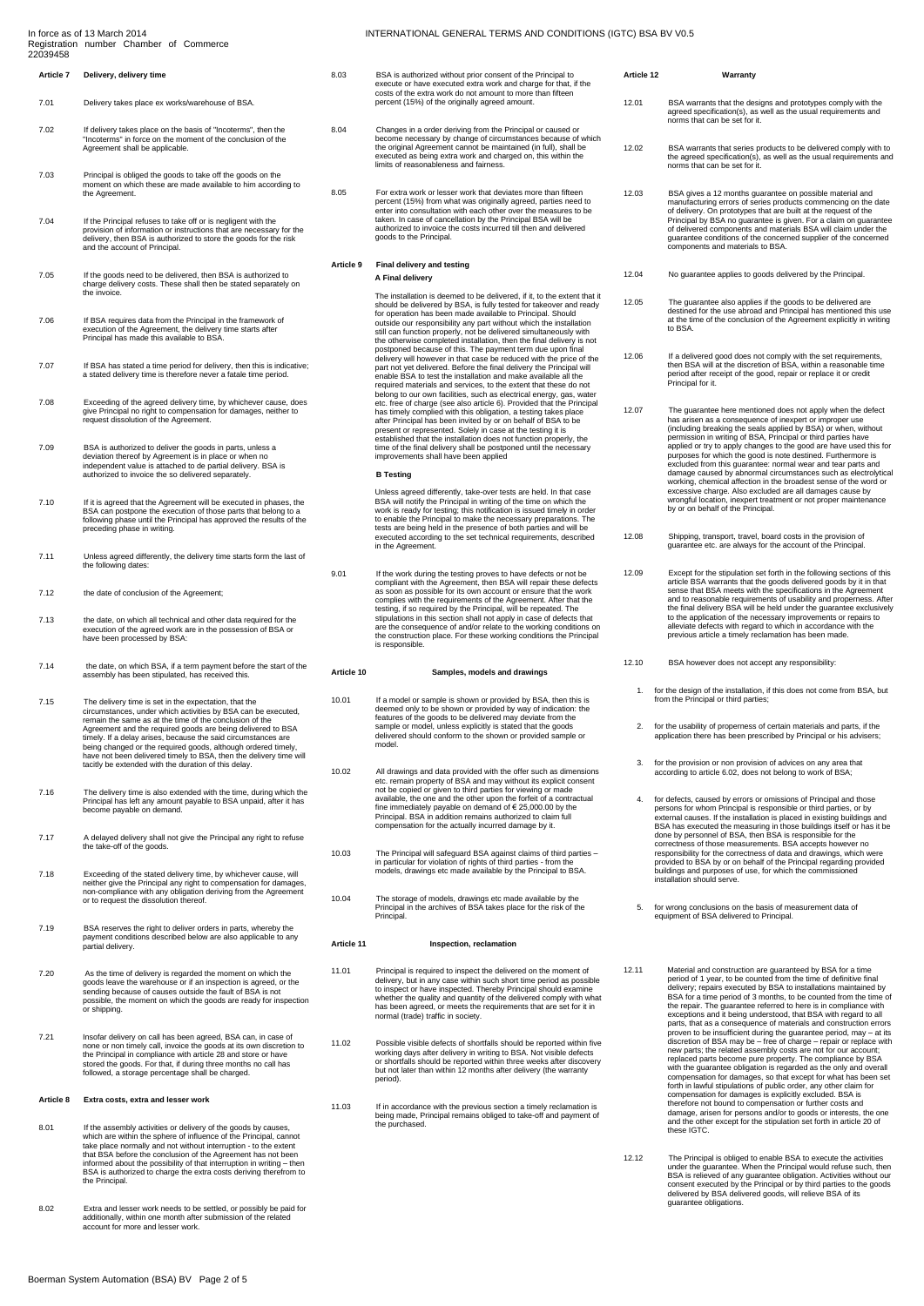# **Article 7 Delivery, delivery time**

- 7.01 Delivery takes place ex works/warehouse of BSA.
- 7.02 If delivery takes place on the basis of "Incoterms", then the "Incoterms" in force on the moment of the conclusion of the Agreement shall be applicable.
- 7.03 Principal is obliged the goods to take off the goods on the moment on which these are made available to him according to the Agreement.
- T.04 If the Principal refuses to take off or is negligent with the<br>provision of information or instructions that are necessary for the<br>delivery, then BSA is authorized to store the goods for the risk<br>and the account of Pri
- 7.05 If the goods need to be delivered, then BSA is authorized to charge delivery costs. These shall then be stated separately on the invoice.
- 7.06 If BSA requires data from the Principal in the framework of execution of the Agreement, the delivery time starts after Principal has made this available to BSA.
- 7.07 If BSA has stated a time period for delivery, then this is indicative; a stated delivery time is therefore never a fatale time period.
- 7.08 Exceeding of the agreed delivery time, by whichever cause, does give Principal no right to compensation for damages, neither to request dissolution of the Agreement.
- 7.09 BSA is authorized to deliver the goods in parts, unless a deviation thereof by Agreement is in place or when no independent value is attached to departial delivery. BSA is authorized to invoice the so delivered separa
- 7.10 If it is agreed that the Agreement will be executed in phases, the BSA can postpone the execution of those parts that belong to a following phase until the Principal has approved the results of the preceding phase in writing.
- 7.11 Unless agreed differently, the delivery time starts form the last of the following dates:
- 7.12 the date of conclusion of the Agreement;
- 7.13 the date, on which all technical and other data required for the execution of the agreed work are in the possession of BSA or have been processed by BSA:
- 7.14 the date, on which BSA, if a term payment before the start of the assembly has been stipulated, has received this.
- 7.15 The delivery time is set in the expectation, that the circumstances, under which activities by BSA can be executed, remain the same as at the time of the conclusion of the Agreement and the required goods are being delivered to BSA thely. If a delay arises, because the said circumstances are being changed or the required goods, although ordered timely, have not been delivered timely to BSA, then the delivery time will tacitly be extended with the duration of this delay.
- 7.16 The delivery time is also extended with the time, during which the Principal has left any amount payable to BSA unpaid, after it has become payable on demand.
- 7.17 A delayed delivery shall not give the Principal any right to refuse the take-off of the goods.
- 7.18 Exceeding of the stated delivery time, by whichever cause, will<br>neither give the Principal any right to compensation for damages,<br>non-compliance with any obligation deriving from the Agreement<br>or to request the dissol
- 7.19 BSA reserves the right to deliver orders in parts, whereby the payment conditions described below are also applicable to any partial delivery.
- 7.20 As the time of delivery is regarded the moment on which the goods leave the warehouse or if an inspection is agreed, or the sending because of causes outside the fault of BSA is not possible, the moment on which the g
- 7.21 Insofar delivery on call has been agreed, BSA can, in case of none or non timely call, invoice the goods at its own discretion to the Principal in compliance with article 28 and store or have stored the goods. For that, if during three months no call has followed, a storage percentage shall be charged.

## **Article 8 Extra costs, extra and lesser work**

- 8.01 If the assembly activities or delivery of the goods by causes,<br>which are within the sphere of influence of the Principal, cannot<br>take place normally and not without interruption to the extent<br>that BSA before the con the Principal.
- 8.02 Extra and lesser work needs to be settled, or possibly be paid for additionally, within one month after submission of the related account for more and lesser work.

## INTERNATIONAL GENERAL TERMS AND CONDITIONS (IGTC) BSA BV V0.5

- 8.03 BSA is authorized without prior consent of the Principal to execute or have executed extra work and charge for that, if the costs of the extra work do not amount to more than fifteen percent (15%) of the originally agreed amount.
- 8.04 Changes in a order deriving from the Principal or caused or<br>become necessary by change of circumstances because of which<br>the original Agreement cannot be maintained (in full), shall be<br>executed as being extra work and
- 8.05 For extra work or lesser work that deviates more than fifteen percent (15%) from what was originally agreed, parties need to enter into consultation with each other over the measures to be taken. In case of cancellation by the Principal BSA will be authorized to invoice the costs incurred till then and delivered goods to the Principal.

# **Article 9 Final delivery and testing**

## **A Final delivery**

The installation is deemed to be delivered, if it, to the extent that it<br>should be delivered by BSA, is fully tested for takeover and ready<br>for operation has been made available to Principal. Should<br>outside our responsibil the otherwise completed installation, then the final delivery is not postponed because of this. The payment term due upon final delivery will however in that case be reduced with the price of the part not yet delivered. Before the final delivery the Principal will<br>enable BSA to test the installation and make available all the enable BSA to test the installation and make available all the<br>required materials and services, to the extent that these do not<br>belong to our own facilities, such as electrical energy, gas, water<br>etc. free of charge (see a

## **B Testing**

Unless agreed differently, take-over tests are held. In that case<br>BSA will notify the Principal in writing of the time on which the<br>work is ready for testing; this notification is issued timely in order<br>to enable the Princ tests are being held in the presence of both parties and will be executed according to the set technical requirements, described in the Agreement.

9.01 If the work during the testing proves to have defects or not be<br>compliant with the Agreement, then BSA will repair these defects<br>as soon as possible for its own account or ensure that the work<br>complies with the requir

## **Article 10 Samples, models and drawings**

- 10.01 If a model or sample is shown or provided by BSA, then this is<br>deemed only to be shown or provided by way of indication: the<br>features of the goods to be delivered may deviate from the<br>sample or model, unless explicit
- 10.02 All drawings and data provided with the offer such as dimensions etc. remain property of BSA and may without its explicit consent not be copied or given to third parties for viewing or made available, the one and the other upon the forfeit of a contractual fine immediately payable on demand of € 25,000.00 by the Principal. BSA in addition remains authorized to claim full compensation for the actually incurred damage by it.
- 10.03 The Principal will safeguard BSA against claims of third parties in particular for violation of rights of third parties from the models, drawings etc made available by the Principal to BSA.
- 10.04 The storage of models, drawings etc made available by the Principal in the archives of BSA takes place for the risk of the Principal.

## **Article 11 Inspection, reclamation**

- 11.01 Principal is required to inspect the delivered on the moment of<br>delivery, but in any case within such short time period as possible<br>to inspect or have inspected. Thereby Principal should examine<br>whether the quality a normal (trade) traffic in society.
- 11.02 Possible visible defects of shortfalls should be reported within five working days after delivery in writing to BSA. Not visible defects or shortfalls should be reported within three weeks after discovery but not lat
- 11.03 If in accordance with the previous section a timely reclamation is being made, Principal remains obliged to take-off and payment of the purchased.

# 12.01 BSA warrants that the designs and prototypes comply with the agreed specification(s), as well as the usual requirements and norms that can be set for it.

**Article 12 Warranty**

- 12.02 BSA warrants that series products to be delivered comply with to the agreed specification(s), as well as the usual requirements and norms that can be set for it.
- 12.03 BSA gives a 12 months guarantee on possible material and manufacturing errors of series products commencing on the date of delivery. On prototypes that are built at the request of the Principal by BSA no guarantee is given. For a claim on guarantee of delivered components and materials BSA will claim under the guarantee conditions of the concerned supplier of the concerned components and materials to BSA.
- 12.04 No guarantee applies to goods delivered by the Principal.
- 12.05 The guarantee also applies if the goods to be delivered are destined for the use abroad and Principal has mentioned this use at the time of the conclusion of the Agreement explicitly in writing to BSA

12.06 If a delivered good does not comply with the set requirements, then BSA will at the discretion of BSA, within a reasonable time period after receipt of the good, repair or replace it or credit Principal for it.

- 12.07 The guarantee here mentioned does not apply when the defect<br>has arisen as a consequence of inexpert or improper use<br>(including breaking the seals applied by BSA) or when, without<br>permission in writing of BSA, Princip working, chemical affection in the broadest sense of the word or excessive charge. Also excluded are all damages cause by wrongful location, inexpert treatment or not proper maintenance by or on behalf of the Principal.
- 12.08 Shipping, transport, travel, board costs in the provision of guarantee etc. are always for the account of the Principal.
- 12.09 Except for the stipulation set forth in the following sections of this article BSA warrants that the goods delivered goods by it in that<br>sense that BSA meets with the specifications in the Agreement<br>and to reasonable requirements of usability and properness. After<br>the final delivery BSA will
- 12.10 BSA however does not accept any responsibility:
	- 1. for the design of the installation, if this does not come from BSA, but from the Principal or third parties;
	- 2. for the usability of properness of certain materials and parts, if the application there has been prescribed by Principal or his advisers;
	- 3. for the provision or non provision of advices on any area that according to article 6.02, does not belong to work of BSA;
- 4. for defects, caused by errors or omissions of Principal and those<br>persons for whom Principal is responsible or third parties, or by<br>external causes. If the installation is placed in existing buildings and<br>BSA has execut
- 5. for wrong conclusions on the basis of measurement data of equipment of BSA delivered to Principal.
- 12.11 Material and construction are guaranteed by BSA for a time<br>period of 1 year, to be counted from the time of definitive final<br>delivery; repairs executed by BSA to installations maintained by<br>BSA for a time period of 3 new parts; the related assembly costs are not for our account;<br>replaced parts become pure property. The compliance by BSA<br>with the guarantee obligation is regarded as the only and overall<br>compensation for damages, so that forth in lawful stipulations of public order, any other claim for compensation for damages is explicitly excluded. BSA is therefore not bound to compensation or further costs and damage, arisen for persons and/or to goods or interests, the one and the other except for the stipulation set forth in article 20 of these IGTC.
- 12.12 The Principal is obliged to enable BSA to execute the activities<br>under the guarantee. When the Principal would refuse such, then<br>BSA is relieved of any guarantee obligation. Activities without our<br>consent executed by guarantee obligations.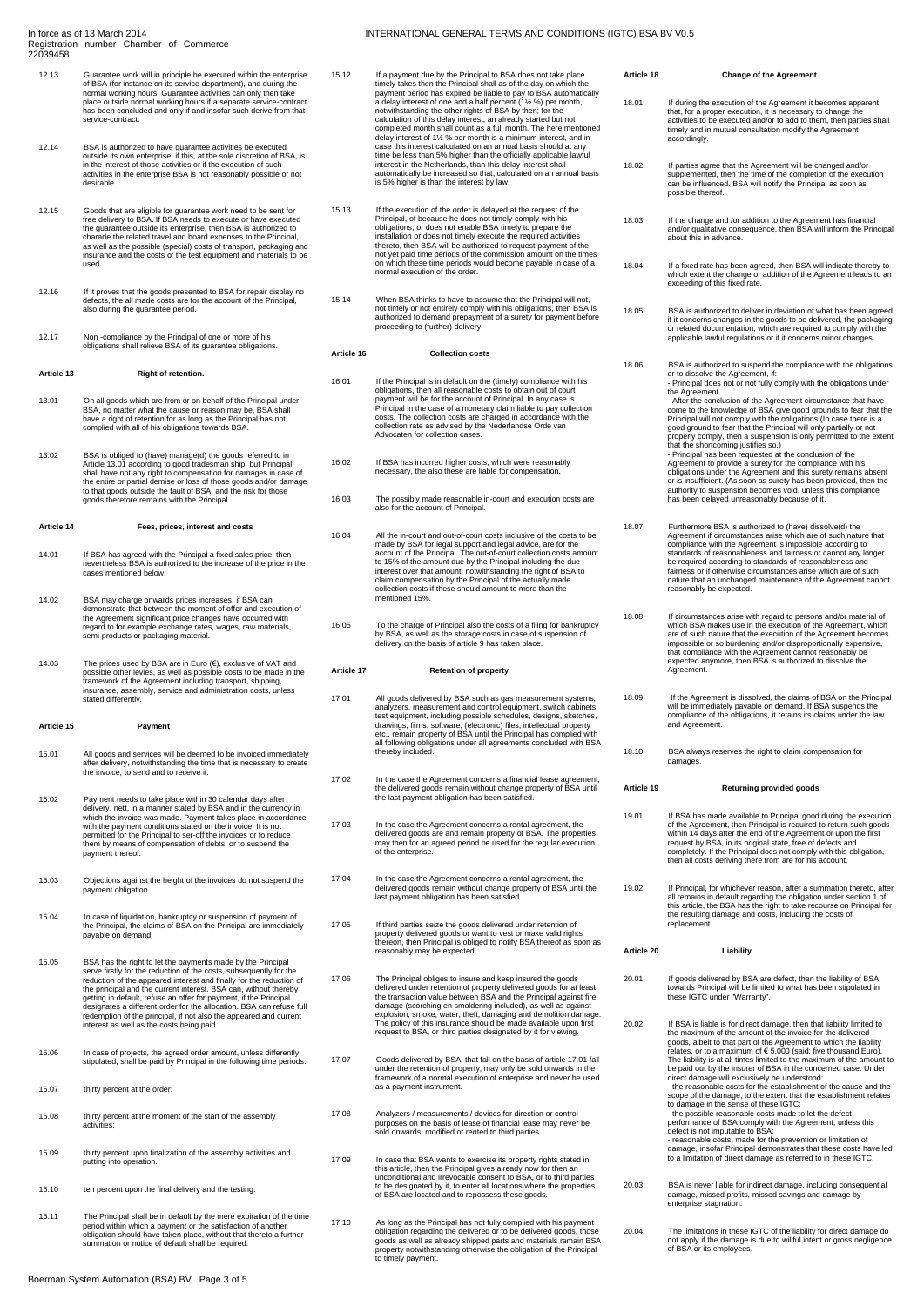## 22039458 12.13 Guarantee work will in principle be executed within the enterprise

- of BSA (for instance on its service department), and during the normal working hours. Guarantee activities can only then take place outside normal working hours if a separate service-contract has been concluded and only if and insofar such derive from that service-contract.
- 12.14 BSA is authorized to have guarantee activities be executed<br>outside its own enterprise, if this, at the sole discretion of BSA, is<br>in the interest of those activities or if the execution of such<br>activities in the ente
- 12.15 Goods that are eligible for guarantee work need to be sent for free delivery to BSA. If BSA needs to execute or have executed the guarantee outside its enterprise, then BSA is authorized to charade the related travel and board expenses to the Principal, as well as the possible (special) costs of transport, packaging and insurance and the costs of the test equipment and materials to be used.
- 12.16 If it proves that the goods presented to BSA for repair display no defects, the all made costs are for the account of the Principal, also during the guarantee period.
- 12.17 Non -compliance by the Principal of one or more of his obligations shall relieve BSA of its guarantee obligations.

## **Article 13 Right of retention.**

- 13.01 On all goods which are from or on behalf of the Principal under BSA, no matter what the cause or reason may be, BSA shall have a right of retention for as long as the Principal has not complied with all of his obligations towards BSA.
- 13.02 BSA is obliged to (have) manage(d) the goods referred to in Article 13.01 according to good tradesman ship, but Principal shall have not any right to compensation for damages in case of the entire or partial demise o

## **Article 14 Fees, prices, interest and costs**

- 14.01 If BSA has agreed with the Principal a fixed sales price, then nevertheless BSA is authorized to the increase of the price in the cases mentioned below.
- 14.02 BSA may charge onwards prices increases, if BSA can<br>demonstrate that between the moment of offer and execution of<br>the Agreement significant price changes have occurred with<br>regard to for example exchange rates, wages
- 14.03 The prices used by BSA are in Euro (€), exclusive of VAT and possible other levies, as well as possible costs to be made in the framework of the Agreement including transport, shipping, insurance, assembly, service and administration costs, unless stated differently.

## **Article 15 Payment**

- 15.01 All goods and services will be deemed to be invoiced immediately after delivery, notwithstanding the time that is necessary to create the invoice, to send and to receive it.
- 15.02 Payment needs to take place within 30 calendar days after<br>delivery, nett, in a manner stated by BSA and in the currency in<br>which the invoice was made. Payment takes place in accordance<br>with the payment conditions sta
- 15.03 Objections against the height of the invoices do not suspend the payment obligation.
- 15.04 In case of liquidation, bankruptcy or suspension of payment of the Principal, the claims of BSA on the Principal are immediately payable on demand.
- 15.05 BSA has the right to let the payments made by the Principal<br>serve firstly for the reduction of the costs, subsequently for the<br>reduction of the appeared interest and finally for the reduction of<br>the principal and the redemption of the principal, if not also the appeared and current interest as well as the costs being paid.
- 15.06 In case of projects, the agreed order amount, unless differently stipulated, shall be paid by Principal in the following time periods:
- 15.07 thirty percent at the order;
- 15.08 thirty percent at the moment of the start of the assembly activities;
- 15.09 thirty percent upon finalization of the assembly activities and putting into operation.
- 15.10 ten percent upon the final delivery and the testing.
- 15.11 The Principal shall be in default by the mere expiration of the time period within which a payment or the satisfaction of another obligation should have taken place, without that thereto a further summation or notice of default shall be required.
- 15.12 If a payment due by the Principal to BSA does not take place timely takes then the Principal shall as of the day on which the payment period has expired be liable to pay to BSA automatically a delay interest of one and a half percent (1½ %) per month, notwithstanding the other rights of BSA by then; for the calculation of this delay interest, an already started but not completed month shall count as a full month. The here mentioned delay interest of 1½ % per month is a minimum interest, and in case this interest calculated on an annual basis should at any time be less than 5% higher than the officially applicable lawful<br>interest in the Netherlands, than this delay interest shall<br>automatically be increased so that, calculated on an annual basis<br>is 5% higher is than the inter
- 15.13 If the execution of the order is delayed at the request of the Principal, of because he does not timely comply with his<br>obligations, or does not enable BSA timely to prepare the<br>installation or does not timely execute the required activities<br>thereto, then BSA will be authorized to req not yet paid time periods of the commission amount on the times on which these time periods would become payable in case of a normal execution of the order.
- 15.14 When BSA thinks to have to assume that the Principal will not, not timely or not entirely comply with his obligations, then BSA is authorized to demand prepayment of a surety for payment before proceeding to (further) delivery.

## **Article 16 Collection costs**

- 16.01 If the Principal is in default on the (timely) compliance with his<br>poliglations, then all reasonable costs to obtain out of court<br>payment will be for the account of Principal. In any case is<br>Principal in the case of
- 16.02 If BSA has incurred higher costs, which were reasonably necessary, the also these are liable for compensation.
- 16.03 The possibly made reasonable in-court and execution costs are also for the account of Principal.
- 16.04 All the in-court and out-of-court costs inclusive of the costs to be made by BSA for legal support and legal advice, are for the account of the Principal. The out-of-court collection costs amount to 15% of the amount due by the Principal including the due interest over that amount, notwithstanding the right of BSA to claim compensation by the Principal of the actually made collection costs if these should amount to more than the mentioned 15%.
- 16.05 To the charge of Principal also the costs of a filing for bankruptcy by BSA, as well as the storage costs in case of suspension of delivery on the basis of article 9 has taken place.

## **Article 17 Retention of property**

- 17.01 All goods delivered by BSA such as gas measurement systems analyzers, measurement and control equipment, switch cabinets, test equipment, including possible schedules, designs, sketches, drawings, films, software, (electronic) files, intellectual property etc., remain property of BSA until the Principal has complied with all following obligations under all agreements concluded with BSA thereby included.
- 17.02 In the case the Agreement concerns a financial lease agreement, the delivered goods remain without change property of BSA until the last payment obligation has been satisfied.
- 17.03 In the case the Agreement concerns a rental agreement, the delivered goods are and remain property of BSA. The properties may then for an agreed period be used for the regular execution of the enterprise.
- 17.04 In the case the Agreement concerns a rental agreement, the delivered goods remain without change property of BSA until the last payment obligation has been satisfied.
- 17.05 If third parties seize the goods delivered under retention of property delivered goods or want to vest or make valid rights thereon, then Principal is obliged to notify BSA thereof as soon as reasonably may be expected.
- 17.06 The Principal obliges to insure and keep insured the goods<br>delivered under retention of property delivered goods for at least<br>the transaction value between BSA and the Principal against fire<br>damage (scorching en smol
- 17.07 Goods delivered by BSA, that fall on the basis of article 17.01 fall under the retention of property, may only be sold onwards in the framework of a normal execution of enterprise and never be used as a payment instrument.
- 17.08 Analyzers / measurements / devices for direction or control purposes on the basis of lease of financial lease may never be sold onwards, modified or rented to third parties.
- 17.09 In case that BSA wants to exercise its property rights stated in this article, then the Principal gives already now for then an unconditional and irrevocable consent to BSA, or to third parties to be designated by it
- 17.10 As long as the Principal has not fully complied with his payment<br>colbilgation regarding the delivered or to be delivered goods, those<br>goods as well as already shipped parts and materials remain BSA<br>property notwithst to timely payment.
- **Article 18 Change of the Agreement** 18.01 If during the execution of the Agreement it becomes apparent<br>that, for a proper execution, it is necessary to change the<br>activities to be executed and/or to add to them, then parties shall timely and in mutual consultation modify the Agreement accordingly. 18.02 If parties agree that the Agreement will be changed and/or<br>supplemented, then the time of the completion of the execution<br>can be influenced. BSA will notify the Principal as soon as<br>possible thereof. 18.03 If the change and /or addition to the Agreement has financial and/or qualitative consequence, then BSA will inform the Principal about this in advance. 18.04 If a fixed rate has been agreed, then BSA will indicate thereby to<br>which extent the change or addition of the Agreement leads to an<br>exceeding of this fixed rate.
- 18.05 BSA is authorized to deliver in deviation of what has been agreed if it concerns changes in the goods to be delivered, the packaging or related documentation, which are required to comply with the applicable lawful regulations or if it concerns minor changes.
- 18.06 BSA is authorized to suspend the compliance with the obligations or to dissolve the Agreement, if: - Principal does not or not fully comply with the obligations under the Agreement.<br>
After the conclusion of the Agreement circumstance that have<br>
come to the knowledge of BSA give good grounds to fear that the<br>
Principal will not comply with the obligations (In case there is a<br>
good ground obligations under the Agreement and this surety remains absent or is insufficient. (As soon as surety has been provided, then the authority to suspension becomes void, unless this compliance has been delayed unreasonably because of it.
- 18.07 Furthermore BSA is authorized to (have) dissolve(d) the dynamical of the dynamic method compliance with the Agreement is impossible according to standards of reasonableness and fairness or cannot any longer be requir reasonably be expected.
- 18.08 If circumstances arise with regard to persons and/or material of<br>which BSA makes use in the execution of the Agreement, which<br>are of such nature that the execution of the Agreement becomes<br>impossible or so burdening
- 18.09 If the Agreement is dissolved, the claims of BSA on the Principa<br>will be immediately payable on demand. If BSA suspends the<br>compliance of the obligations, it retains its claims under the law<br>and Agreement.
- 18.10 BSA always reserves the right to claim compensation for damages.

## **Article 19 Returning provided goods**

- 19.01 If BSA has made available to Principal good during the execution<br>of the Agreement, then Principal is required to return such goods<br>within 14 days after the end of the Agreement or upon the first<br>request by BSA, in it
- 19.02 If Principal, for whichever reason, after a summation thereto, after all remains in default regarding the obligation under section 1 of this article, the BSA has the right to take recourse on Principal for the assult replacement.

## **Article 20 Liability**

- 20.01 If goods delivered by BSA are defect, then the liability of BSA towards Principal will be limited to what has been stipulated in these IGTC under "Warranty".
- 20.02 If BSA is liable is for direct damage, then that liability limited to the maximum of the amount of the invoice for the delivered goods, albeit to that part of the Agreement to which the liability relates, or to a maximum of € 5,000 (said: five thousand Euro). The liability is at all times limited to the maximum of the amount to be paid out by the insurer of BSA in the concerned case. Under Figure damage will exclusively be understood:<br>The reasonable costs for the establishment of the cause and the - the reasonable costs for the establishment of the cause and the<br>scope of the damage, to the extent that the establishment relates<br>to damage in the sense of these IGTC;<br>the possible reasonable costs made to let the defect
- 20.03 BSA is never liable for indirect damage, including consequential damage, missed profits, missed savings and damage by enterprise stagnation.
- 20.04 The limitations in these IGTC of the liability for direct damage do not apply if the damage is due to willful intent or gross negligence of BSA or its employees.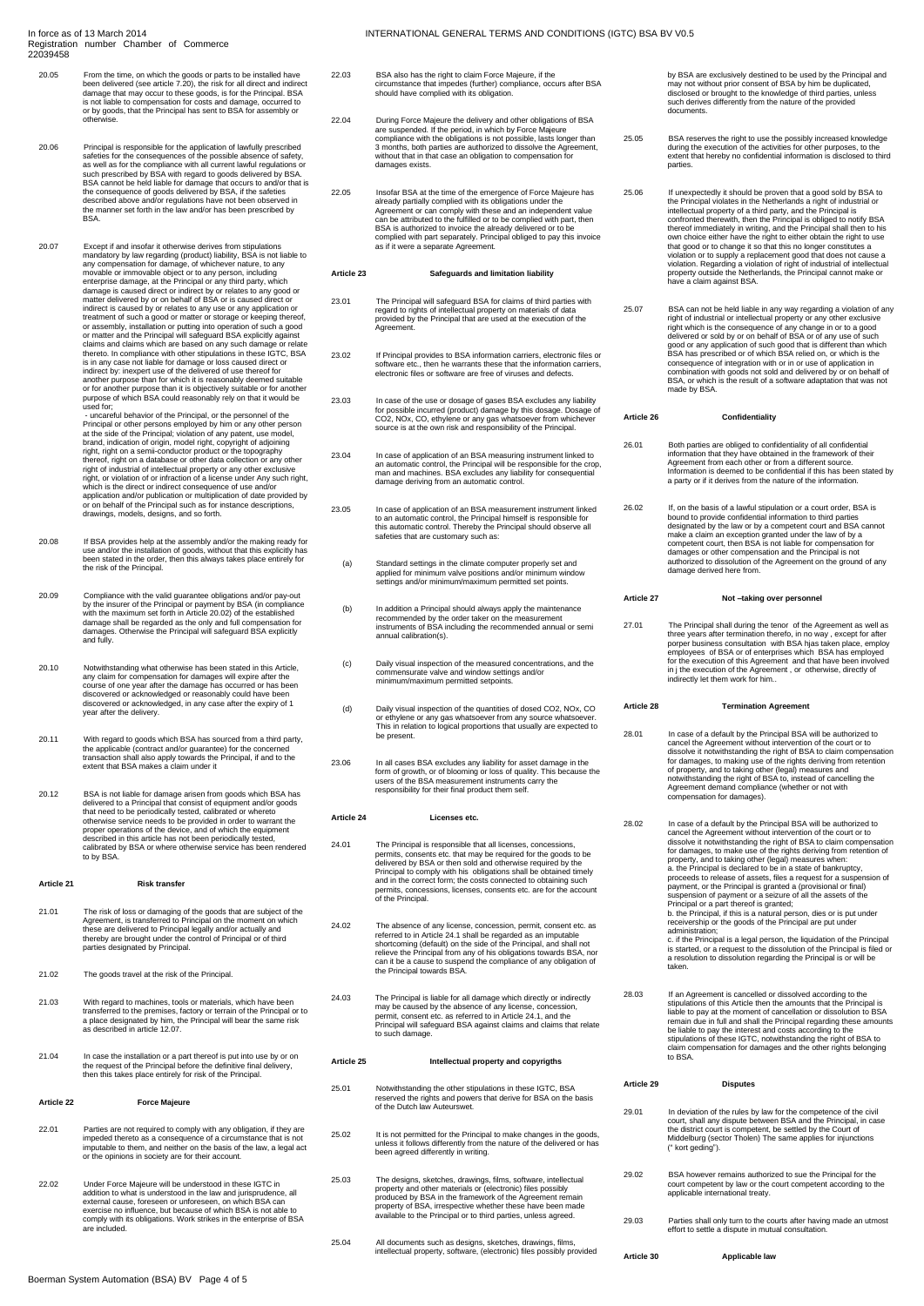- 20.05 From the time, on which the goods or parts to be installed have been delivered (see article 7.20), the risk for all direct and indirect damage that may occur to these goods, is for the Principal. BSA is not liable to compensation for costs and damage, occurred to or by goods, that the Principal has sent to BSA for assembly or otherwise.
- 20.06 Principal is responsible for the application of lawfully prescribed<br>safeties for the consequences of the possible absence of safety,<br>as well as for the compliance with all current lawful regulations or<br>such prescribe
- 20.07 Except if and insolar it to thewise derives from stipulations<br>mandatory by law regarding (product) liability, BSA is not liable to<br>any compensation for damage, of whichever nature, to any<br>movable or immovable objects or for another purpose than it is objectively suitable or for another purpose of which BSA could reasonably rely on that it would be used for;<br>- uncareful behavior of the Principal, or the personnel of the

- uncareful behavior of the Principal, or the personnel of the person<br>Principal or other persons employed by him or any other person<br>at the side of the Principal; violation of any patent, use model,<br>brand, indication of or

- 20.08 If BSA provides help at the assembly and/or the making ready for use and/or the installation of goods, without that this explicitly has been stated in the order, then this always takes place entirely for the risk of the Principal.
- 20.09 Compliance with the valid guarantee obligations and/or pay-out<br>by the insurer of the Principal or payment by BSA (in compliance<br>with the maximum set forth in Article 20.02) of the established<br>damage shall be regarded
- 20.10 Notwithstanding what otherwise has been stated in this Article<br>any claim for compensation for damages will expire after the<br>course of one year after the damage has occurred or has been<br>discovered or acknowledged or r year after the delivery.
- 20.11 With regard to goods which BSA has sourced from a third party,<br>the applicable (contract and/or guarantee) for the concerned<br>transaction shall also apply towards the Principal, if and to the<br>extent that BSA makes a cl
- 20.12 BSA is not liable for damage arisen from goods which BSA has delivered to a Principal that consist of equipment and/or goods<br>that need to be periodically tested, calibrated or whereto<br>otherwise service needs to be provided in order to warrant the<br>proper operations of the device, and to by BSA.

#### **Article 21 Risk transfer**

- 21.01 The risk of loss or damaging of the goods that are subject of the Agreement, is transferred to Principal on the moment on which these are delivered to Principal legally and/or actually and thereby are brought under the control of Principal or of third parties designated by Principal.
- 21.02 The goods travel at the risk of the Principal.
- 21.03 With regard to machines, tools or materials, which have been transferred to the premises, factory or terrain of the Principal or to a place designated by him, the Principal will bear the same risk as described in article 12.07.
- 21.04 In case the installation or a part thereof is put into use by or on the request of the Principal before the definitive final delivery, then this takes place entirely for risk of the Principal.

#### **Article 22 Force Majeure**

- 22.01 Parties are not required to comply with any obligation, if they are impeded thereto as a consequence of a circumstance that is not imputable to them, and neither on the basis of the law, a legal act or the opinions in society are for their account.
- 22.02 Under Force Majeure will be understood in these IGTC in addition to what is understood in the law and jurisprudence, all external cause, foreseen or unforeseen, on which BSA can exercise no influence, but because of
- 22.03 BSA also has the right to claim Force Majeure, if the circumstance that impedes (further) compliance, occurs after BSA should have complied with its obligation.
- 22.04 During Force Majeure the delivery and other obligations of BSA are suspended. If the period, in which by Force Majeure compliance with the obligations is not possible, lasts longer than 3 months, both parties are aut
- 22.05 Insofar BSA at the time of the emergence of Force Majeure has already partially complied with its obligations under the Agreement or can comply with these and an independent value can be attributed to the fulfilled or to be complied with part, then BSA is authorized to invoice the already delivered or to be complied with part separately. Principal obliged to pay this invoice as if it were a separate Agreement.

## **Article 23 Safeguards and limitation liability**

- 23.01 The Principal will safeguard BSA for claims of third parties with regard to rights of intellectual property on materials of data provided by the Principal that are used at the execution of the Agreement.
- 23.02 If Principal provides to BSA information carriers, electronic files or software etc., then he warrants these that the information carriers, electronic files or software are free of viruses and defects.
- 23.03 In case of the use or dosage of gases BSA excludes any liability<br>for possible incurred (product) damage by this dosage. Dosage of<br>CO2, NOx, CO, ethylene or any gas whatsoever from whichever<br>source is at the own risk
- 23.04 In case of application of an BSA measuring instrument linked to<br>an automatic control, the Principal will be responsible for the crop,<br>man and machines. BSA excludes any liability for consequential<br>damage deriving fro
- 23.05 In case of application of an BSA measurement instrument linked to an automatic control, the Principal himself is responsible for this automatic control. Thereby the Principal should observe all safeties that are customary such as:
	- (a) Standard settings in the climate computer properly set and applied for minimum valve positions and/or minimum window settings and/or minimum/maximum permitted set points.
- (b) In addition a Principal should always apply the maintenance recommended by the order taker on the measurement instruments of BSA including the recommended annual or semi annual calibration(s).
- (c) Daily visual inspection of the measured concentrations, and the commensurate valve and window settings and/or minimum/maximum permitted setpoints.
- (d) Daily visual inspection of the quantities of dosed CO2, NOx, CO or ethylene or any gas whatsoever from any source whatsoever. This in relation to logical proportions that usually are expected to be present.
- 23.06 In all cases BSA excludes any liability for asset damage in the form of growth, or of blooming or loss of quality. This because the users of the BSA measurement instruments carry the responsibility for their final product them self.

#### **Article 24 Licenses etc.**

- 24.01 The Principal is responsible that all licenses, concessions, constraining the permits, consents etc. that may be required for the goods to be delivered by BSA or then sold and otherwise required by the Principal to c
- 24.02 The absence of any license, concession, permit, consent etc. as<br>referred to in Article 24.1 shall be regarded as an imputable<br>shortcoming (default) on the side of the Principal, and shall not<br>relieve the Principal fr
- 24.03 The Principal is liable for all damage which directly or indirectly<br>may be caused by the absence of any license, concession,<br>permit, consent etc. as referred to in Article 24.1, and the<br>Principal will safeguard BSA a to such damage.

## **Article 25 Intellectual property and copyrigths**

- 25.01 Notwithstanding the other stipulations in these IGTC, BSA reserved the rights and powers that derive for BSA on the basis of the Dutch law Auteurswet.
- 25.02 It is not permitted for the Principal to make changes in the goods, unless it follows differently from the nature of the delivered or has been agreed differently in writing.
- 25.03 The designs, sketches, drawings, films, software, intellectual<br>property and other materials or (electronic) files possibly<br>produced by BSA in the framework of the Agreement remain<br>property of BSA, irrespective whethe
- 25.04 All documents such as designs, sketches, drawings, films, intellectual property, software, (electronic) files possibly provided

by BSA are exclusively destined to be used by the Principal and may not without prior consent of BSA by him be duplicated, disclosed or brought to the knowledge of third parties, unless such derives differently from the nature of the provided documents.

- 25.05 BSA reserves the right to use the possibly increased knowledge during the execution of the activities for other purposes, to the execution of the activities for other purposes, to third parties.
- 25.06 If unexpectedly it should be proven that a good sold by BSA to the Principal violates in the Netherlands a right of industrial or intellectual property of a third party, and the Principal is confronted therewith, the

25.07 BSA can not be held liable in any way regarding a violation of any<br>right of industrial or intellectual property or any other exclusive<br>inght which is the consequence of any change in or to a good<br>delivered or sold by consequence of integration with or in or use of application in combination with goods not sold and delivered by or on behalf of BSA, or which is the result of a software adaptation that was not made by BSA.

#### **Article 26 Confidentiality**

26.01 Both parties are obliged to confidentiality of all confidential information that they have obtained in the framework of their Agreement from each other or from a different source. Information is deemed to be confidential if this has been stated by a party or if it derives from the nature of the information.

26.02 If, on the basis of a lawful stipulation or a court order, BSA is<br>bound to provide confidential information to third parties<br>designated by the law or by a competent court and BSA cannot<br>make a claim an exception gran

#### **Article 27 Not –taking over personnel**

27.01 The Principal shall during the tenor of the Agreement as well as<br>three years after termination therefo, in no way , except for after<br>porper business consultation with BSA hjas taken place, employ<br>employees of BSA or

## **Article 28 Termination Agreement**

- 28.01 In case of a default by the Principal BSA will be authorized to<br>cancel the Agreement without intervention of the court or to<br>dissolve it notwithstanding the right of BSA to claim compensation<br>for damages, to making u
- 28.02 In case of a default by the Principal BSA will be authorized to cancel the Agreement without intervention of the court or to dissolve it notwithstanding the right of BSA to claim compensation for damages, to make use of the rights deriving from retention of property, and to taking other (legal) measures when: a. the Principal is declared to be in a state of bankruptcy, proceeds to release of assets, files a request for a suspension of<br>payment, or the Principal is granted a (provisional or final)<br>suspension of payment or a seizure of all the assets of the<br>Principal or a part thereof is gr
- 28.03 If an Agreement is cancelled or dissolved according to the stipulations of this Article them the amounts that the Principal is<br>liable to pay at the moment of cancellation or dissolution to BSA<br>remain due in full and shall the Principal regarding these amounts<br>be liable to pay the

# **Article 29 Disputes**

**Article 30 Applicable law**

- 29.01 In deviation of the rules by law for the competence of the civil court, shall any dispute between BSA and the Principal, in case the district court is competent, be settled by the Court of Middelburg (sector Tholen) The same applies for injunctions (" kort geding").
- 29.02 BSA however remains authorized to sue the Principal for the court competent by law or the court competent according to the applicable international treaty.

29.03 Parties shall only turn to the courts after having made an utmost effort to settle a dispute in mutual consultation.